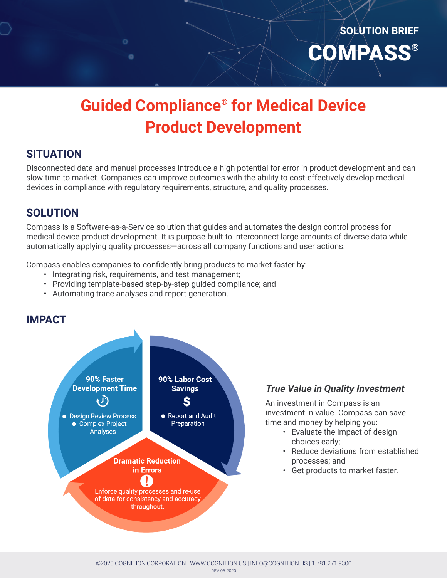# **Guided Compliance® for Medical Device Product Development**

### **SITUATION**

Disconnected data and manual processes introduce a high potential for error in product development and can slow time to market. Companies can improve outcomes with the ability to cost-effectively develop medical devices in compliance with regulatory requirements, structure, and quality processes.

### **SOLUTION**

Compass is a Software-as-a-Service solution that guides and automates the design control process for medical device product development. It is purpose-built to interconnect large amounts of diverse data while automatically applying quality processes—across all company functions and user actions.

Compass enables companies to confidently bring products to market faster by:

- Integrating risk, requirements, and test management;
- Providing template-based step-by-step guided compliance; and
- Automating trace analyses and report generation.

 $\bullet$ 

### **IMPACT**



### **True Value in Quality Investment**

An investment in Compass is an investment in value. Compass can save time and money by helping you:

- Evaluate the impact of design choices early;
- Reduce deviations from established processes; and

**SOLUTION BRIEF**

**COMPASS®** 

• Get products to market faster.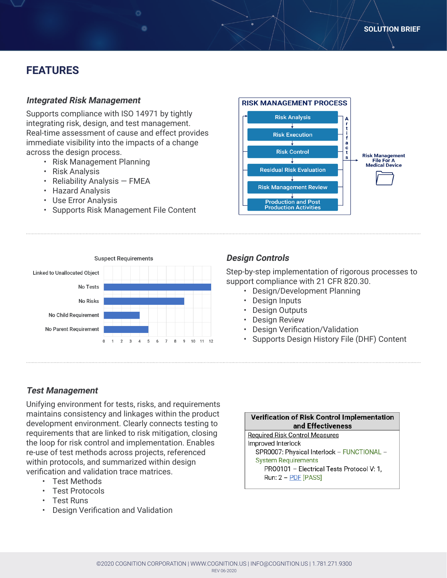# **FEATURES**

#### **Integrated Risk Management**

Supports compliance with ISO 14971 by tightly integrating risk, design, and test management. Real-time assessment of cause and effect provides immediate visibility into the impacts of a change across the design process.

- Risk Management Planning
- Risk Analysis
- Reliability Analysis FMEA
- Hazard Analysis
- Use Error Analysis
- Supports Risk Management File Content





### **Design Controls**

Step-by-step implementation of rigorous processes to support compliance with 21 CFR 820.30.

- Design/Development Planning
- Design Inputs
- Design Outputs
- Design Review
- Design Verification/Validation
- Supports Design History File (DHF) Content

#### **Test Management**

Unifying environment for tests, risks, and requirements maintains consistency and linkages within the product development environment. Clearly connects testing to requirements that are linked to risk mitigation, closing the loop for risk control and implementation. Enables re-use of test methods across projects, referenced within protocols, and summarized within design verification and validation trace matrices.

- Test Methods
- Test Protocols
- Test Runs
- Design Verification and Validation

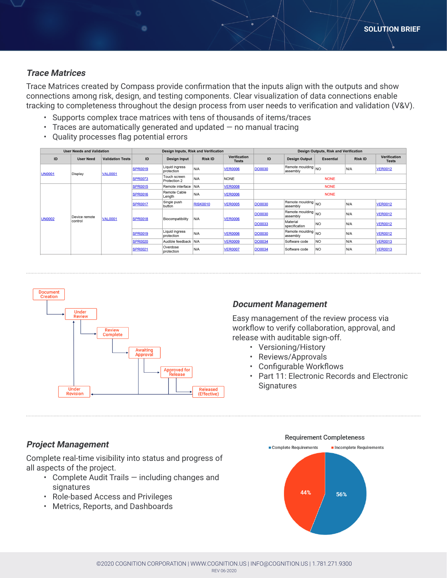#### **Trace Matrices**

Trace Matrices created by Compass provide confirmation that the inputs align with the outputs and show connections among risk, design, and testing components. Clear visualization of data connections enable tracking to completeness throughout the design process from user needs to verification and validation (V&V).

- Supports complex trace matrices with tens of thousands of items/traces
- $\cdot$  Traces are automatically generated and updated  $-$  no manual tracing
- Quality processes flag potential errors

| <b>User Needs and Validation</b> |                          |                         | Design Inputs, Risk and Verification |                              |                 |                              | <b>Design Outputs, Risk and Verification</b> |                                |                  |                |                              |
|----------------------------------|--------------------------|-------------------------|--------------------------------------|------------------------------|-----------------|------------------------------|----------------------------------------------|--------------------------------|------------------|----------------|------------------------------|
| ID                               | <b>User Need</b>         | <b>Validation Tests</b> | ID                                   | <b>Design Input</b>          | <b>Risk ID</b>  | Verification<br><b>Tests</b> | ID                                           | <b>Design Output</b>           | <b>Essential</b> | <b>Risk ID</b> | Verification<br><b>Tests</b> |
| <b>UN0001</b>                    | Display                  | <b>VAL0001</b>          | <b>SPR0019</b>                       | Liquid ingress<br>protection | N/A             | <b>VER0006</b>               | <b>DO0030</b>                                | Remote moulding NO<br>assembly |                  | N/A            | <b>VER0012</b>               |
|                                  |                          |                         | <b>SPR0073</b>                       | Touch screen<br>Protection 2 | N/A             | <b>NONE</b>                  | <b>NONE</b>                                  |                                |                  |                |                              |
| <b>UN0002</b>                    | Device remote<br>control | <b>VAL0001</b>          | <b>SPR0015</b>                       | Remote interface             | N/A             | <b>VER0008</b>               | <b>NONE</b>                                  |                                |                  |                |                              |
|                                  |                          |                         | <b>SPR0016</b>                       | Remote Cable<br>Length       | N/A             | <b>VER0006</b>               | <b>NONE</b>                                  |                                |                  |                |                              |
|                                  |                          |                         | <b>SPR0017</b>                       | Single push<br>button        | <b>RISK0010</b> | <b>VER0005</b>               | <b>DO0030</b>                                | Remote moulding NO<br>assembly |                  | N/A            | <b>VER0012</b>               |
|                                  |                          |                         | <b>SPR0018</b>                       | Biocompatibility             | N/A             | <b>VER0006</b>               | <b>DO0030</b>                                | Remote moulding NO<br>assembly |                  | N/A            | <b>VER0012</b>               |
|                                  |                          |                         |                                      |                              |                 |                              | <b>DO0033</b>                                | Material<br>specification      | <b>NO</b>        | N/A            | <b>VER0012</b>               |
|                                  |                          |                         | <b>SPR0019</b>                       | Liquid ingress<br>protection | N/A             | <b>VER0006</b>               | <b>DO0030</b>                                | Remote moulding NO<br>assembly |                  | N/A            | <b>VER0012</b>               |
|                                  |                          |                         | <b>SPR0020</b>                       | Audible feedback             | N/A             | <b>VER0009</b>               | <b>DO0034</b>                                | Software code                  | NO               | N/A            | <b>VER0013</b>               |
|                                  |                          |                         | <b>SPR0021</b>                       | Overdose<br>protection       | N/A             | <b>VER0007</b>               | <b>DO0034</b>                                | Software code                  | NO               | N/A            | <b>VER0013</b>               |



#### **Document Management**

Easy management of the review process via workflow to verify collaboration, approval, and release with auditable sign-off.

- Versioning/History
- Reviews/Approvals
- Configurable Workflows
- Part 11: Electronic Records and Electronic **Signatures**

#### **Project Management**

Complete real-time visibility into status and progress of all aspects of the project.

- Complete Audit Trails including changes and **signatures**
- Role-based Access and Privileges
- Metrics, Reports, and Dashboards